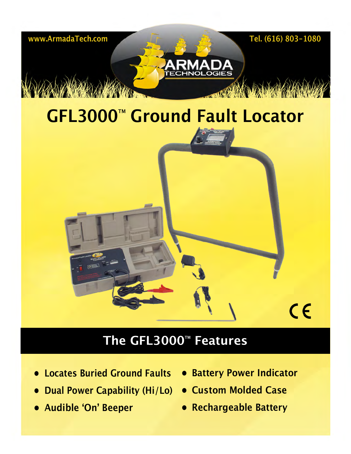

## **The GFL3000**™ **Features**

- **• Locates Buried Ground Faults**
- **• Dual Power Capability (Hi/Lo) • Custom Molded Case**
- **• Audible 'On' Beeper**
- **• Battery Power Indicator**
- 
- **• Rechargeable Battery**